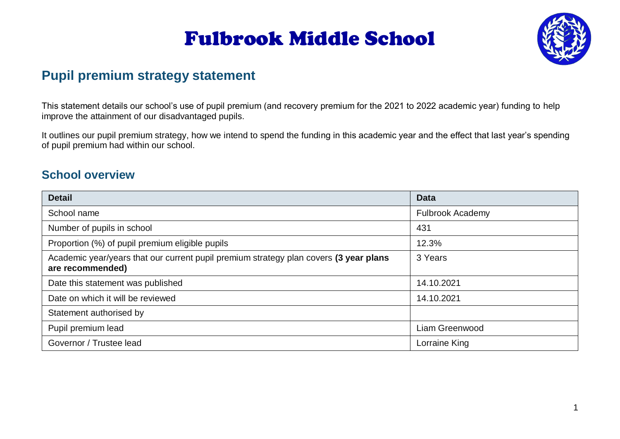

### **Pupil premium strategy statement**

This statement details our school's use of pupil premium (and recovery premium for the 2021 to 2022 academic year) funding to help improve the attainment of our disadvantaged pupils.

It outlines our pupil premium strategy, how we intend to spend the funding in this academic year and the effect that last year's spending of pupil premium had within our school.

### **School overview**

| <b>Detail</b>                                                                                             | <b>Data</b>             |
|-----------------------------------------------------------------------------------------------------------|-------------------------|
| School name                                                                                               | <b>Fulbrook Academy</b> |
| Number of pupils in school                                                                                | 431                     |
| Proportion (%) of pupil premium eligible pupils                                                           | 12.3%                   |
| Academic year/years that our current pupil premium strategy plan covers (3 year plans<br>are recommended) | 3 Years                 |
| Date this statement was published                                                                         | 14.10.2021              |
| Date on which it will be reviewed                                                                         | 14.10.2021              |
| Statement authorised by                                                                                   |                         |
| Pupil premium lead                                                                                        | Liam Greenwood          |
| Governor / Trustee lead                                                                                   | Lorraine King           |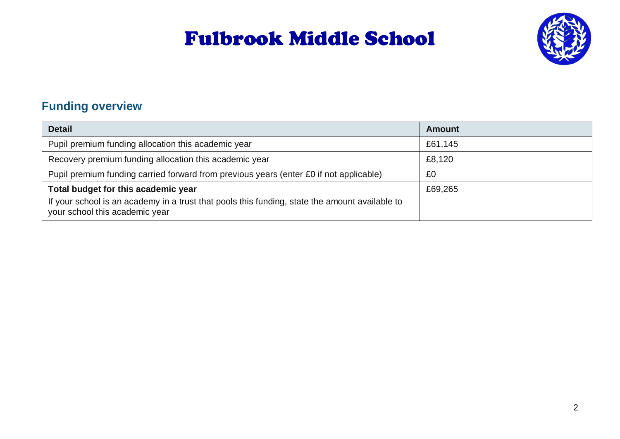

### **Funding overview**

| <b>Detail</b>                                                                                                                    | <b>Amount</b> |
|----------------------------------------------------------------------------------------------------------------------------------|---------------|
| Pupil premium funding allocation this academic year                                                                              | £61,145       |
| Recovery premium funding allocation this academic year                                                                           | £8,120        |
| Pupil premium funding carried forward from previous years (enter £0 if not applicable)                                           | £0            |
| Total budget for this academic year                                                                                              | £69,265       |
| If your school is an academy in a trust that pools this funding, state the amount available to<br>your school this academic year |               |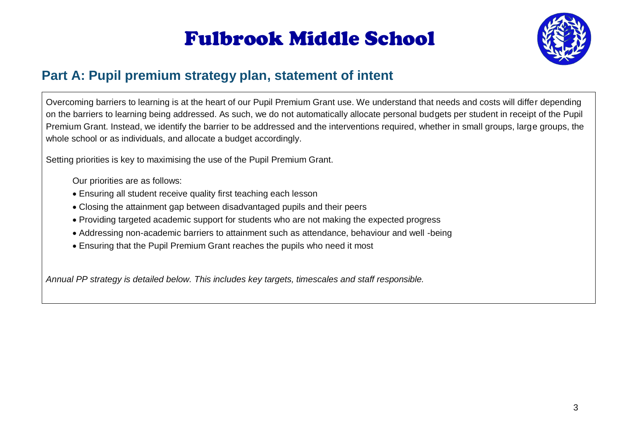

### **Part A: Pupil premium strategy plan, statement of intent**

Overcoming barriers to learning is at the heart of our Pupil Premium Grant use. We understand that needs and costs will differ depending on the barriers to learning being addressed. As such, we do not automatically allocate personal budgets per student in receipt of the Pupil Premium Grant. Instead, we identify the barrier to be addressed and the interventions required, whether in small groups, large groups, the whole school or as individuals, and allocate a budget accordingly.

Setting priorities is key to maximising the use of the Pupil Premium Grant.

Our priorities are as follows:

- Ensuring all student receive quality first teaching each lesson
- Closing the attainment gap between disadvantaged pupils and their peers
- Providing targeted academic support for students who are not making the expected progress
- Addressing non-academic barriers to attainment such as attendance, behaviour and well -being
- Ensuring that the Pupil Premium Grant reaches the pupils who need it most

*Annual PP strategy is detailed below. This includes key targets, timescales and staff responsible.*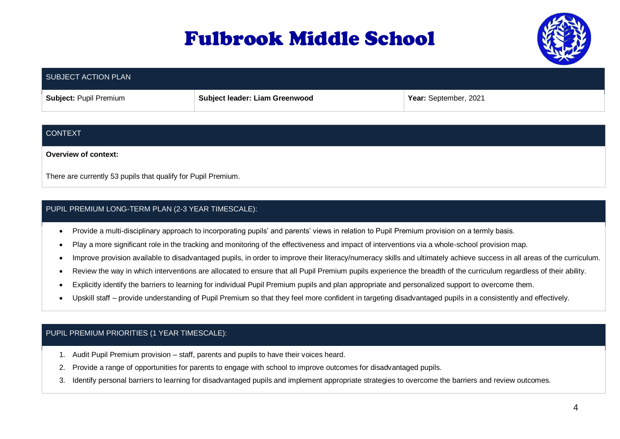

| SUBJECT ACTION PLAN           |                                |                       |
|-------------------------------|--------------------------------|-----------------------|
| <b>Subject: Pupil Premium</b> | Subject leader: Liam Greenwood | Year: September, 2021 |

#### CONTEXT

**Overview of context:**

There are currently 53 pupils that qualify for Pupil Premium.

#### PUPIL PREMIUM LONG-TERM PLAN (2-3 YEAR TIMESCALE):

- Provide a multi-disciplinary approach to incorporating pupils' and parents' views in relation to Pupil Premium provision on a termly basis.
- Play a more significant role in the tracking and monitoring of the effectiveness and impact of interventions via a whole-school provision map.
- Improve provision available to disadvantaged pupils, in order to improve their literacy/numeracy skills and ultimately achieve success in all areas of the curriculum.
- Review the way in which interventions are allocated to ensure that all Pupil Premium pupils experience the breadth of the curriculum regardless of their ability.
- Explicitly identify the barriers to learning for individual Pupil Premium pupils and plan appropriate and personalized support to overcome them.
- Upskill staff provide understanding of Pupil Premium so that they feel more confident in targeting disadvantaged pupils in a consistently and effectively.

#### PUPIL PREMIUM PRIORITIES (1 YEAR TIMESCALE):

- 1. Audit Pupil Premium provision staff, parents and pupils to have their voices heard.
- 2. Provide a range of opportunities for parents to engage with school to improve outcomes for disadvantaged pupils.
- 3. Identify personal barriers to learning for disadvantaged pupils and implement appropriate strategies to overcome the barriers and review outcomes.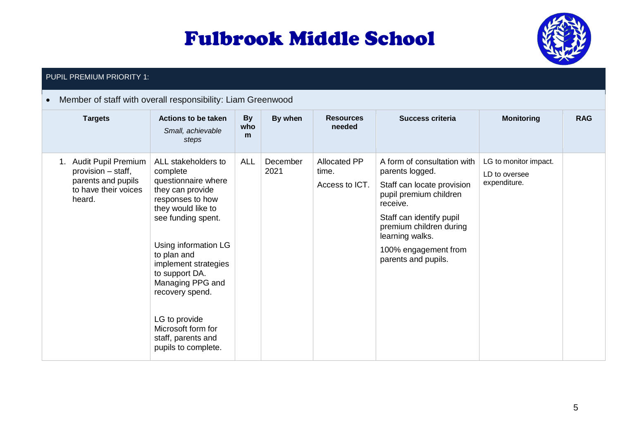

#### PUPIL PREMIUM PRIORITY 1:

#### Member of staff with overall responsibility: Liam Greenwood

| <b>Targets</b>                                                                                       | Actions to be taken<br>Small, achievable<br>steps                                                                                                                                                                                                                                                                                                      | <b>By</b><br>who<br>m | By when          | <b>Resources</b><br>needed              | <b>Success criteria</b>                                                                                                                                                                                                                     | <b>Monitoring</b>                                      | <b>RAG</b> |
|------------------------------------------------------------------------------------------------------|--------------------------------------------------------------------------------------------------------------------------------------------------------------------------------------------------------------------------------------------------------------------------------------------------------------------------------------------------------|-----------------------|------------------|-----------------------------------------|---------------------------------------------------------------------------------------------------------------------------------------------------------------------------------------------------------------------------------------------|--------------------------------------------------------|------------|
| 1. Audit Pupil Premium<br>provision – staff,<br>parents and pupils<br>to have their voices<br>heard. | ALL stakeholders to<br>complete<br>questionnaire where<br>they can provide<br>responses to how<br>they would like to<br>see funding spent.<br>Using information LG<br>to plan and<br>implement strategies<br>to support DA.<br>Managing PPG and<br>recovery spend.<br>LG to provide<br>Microsoft form for<br>staff, parents and<br>pupils to complete. | <b>ALL</b>            | December<br>2021 | Allocated PP<br>time.<br>Access to ICT. | A form of consultation with<br>parents logged.<br>Staff can locate provision<br>pupil premium children<br>receive.<br>Staff can identify pupil<br>premium children during<br>learning walks.<br>100% engagement from<br>parents and pupils. | LG to monitor impact.<br>LD to oversee<br>expenditure. |            |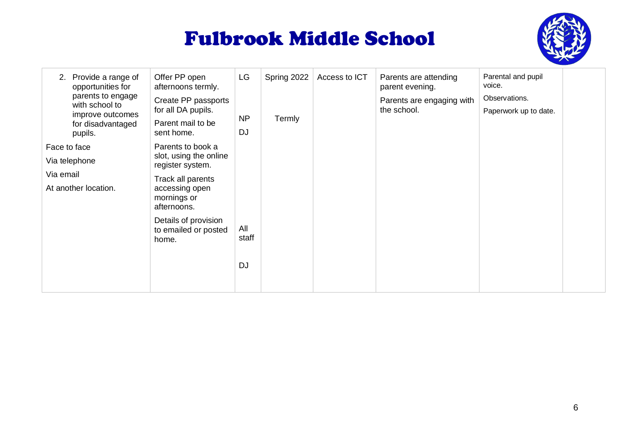

| LG<br>Spring 2022<br>Provide a range of<br>Offer PP open<br>Access to ICT<br>Parents are attending<br>2.<br>opportunities for<br>afternoons termly.<br>parent evening.<br>parents to engage<br>Create PP passports<br>Parents are engaging with<br>with school to<br>for all DA pupils.<br>the school.<br>improve outcomes<br>NP<br>Termly<br>Parent mail to be<br>for disadvantaged<br><b>DJ</b><br>sent home.<br>pupils.<br>Parents to book a<br>Face to face<br>slot, using the online<br>Via telephone<br>register system.<br>Via email<br>Track all parents<br>At another location.<br>accessing open<br>mornings or<br>afternoons.<br>Details of provision<br>All<br>to emailed or posted<br>staff<br>home.<br><b>DJ</b> | Parental and pupil<br>voice.<br>Observations.<br>Paperwork up to date. |  |
|--------------------------------------------------------------------------------------------------------------------------------------------------------------------------------------------------------------------------------------------------------------------------------------------------------------------------------------------------------------------------------------------------------------------------------------------------------------------------------------------------------------------------------------------------------------------------------------------------------------------------------------------------------------------------------------------------------------------------------|------------------------------------------------------------------------|--|
|--------------------------------------------------------------------------------------------------------------------------------------------------------------------------------------------------------------------------------------------------------------------------------------------------------------------------------------------------------------------------------------------------------------------------------------------------------------------------------------------------------------------------------------------------------------------------------------------------------------------------------------------------------------------------------------------------------------------------------|------------------------------------------------------------------------|--|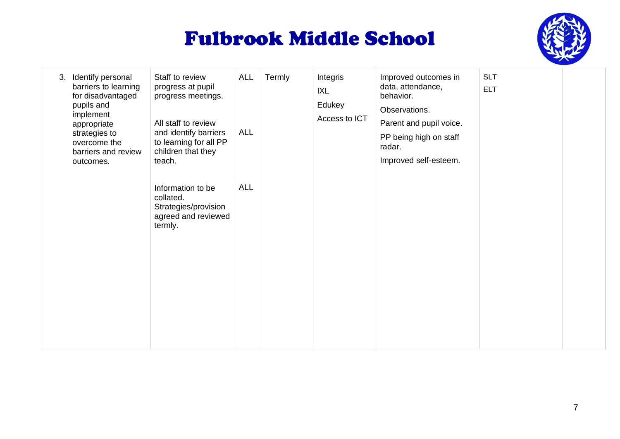

| Identify personal<br>3.<br>barriers to learning<br>for disadvantaged<br>pupils and<br>implement<br>appropriate<br>strategies to<br>overcome the<br>barriers and review<br>outcomes. | Staff to review<br>progress at pupil<br>progress meetings.<br>All staff to review<br>and identify barriers<br>to learning for all PP<br>children that they<br>teach. | <b>ALL</b><br><b>ALL</b> | Termly | Integris<br>IXL<br>Edukey<br>Access to ICT | Improved outcomes in<br>data, attendance,<br>behavior.<br>Observations.<br>Parent and pupil voice.<br>PP being high on staff<br>radar.<br>Improved self-esteem. | <b>SLT</b><br><b>ELT</b> |  |
|-------------------------------------------------------------------------------------------------------------------------------------------------------------------------------------|----------------------------------------------------------------------------------------------------------------------------------------------------------------------|--------------------------|--------|--------------------------------------------|-----------------------------------------------------------------------------------------------------------------------------------------------------------------|--------------------------|--|
|                                                                                                                                                                                     | Information to be<br>collated.<br>Strategies/provision<br>agreed and reviewed<br>termly.                                                                             | <b>ALL</b>               |        |                                            |                                                                                                                                                                 |                          |  |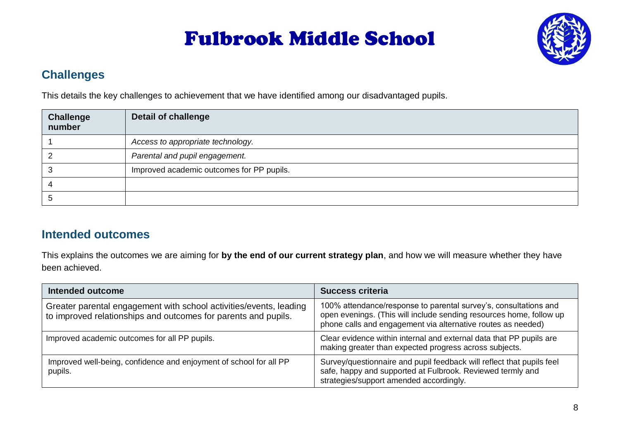

### **Challenges**

This details the key challenges to achievement that we have identified among our disadvantaged pupils.

| <b>Challenge</b><br>number | <b>Detail of challenge</b>                |
|----------------------------|-------------------------------------------|
|                            | Access to appropriate technology.         |
|                            | Parental and pupil engagement.            |
|                            | Improved academic outcomes for PP pupils. |
|                            |                                           |
|                            |                                           |

### **Intended outcomes**

This explains the outcomes we are aiming for **by the end of our current strategy plan**, and how we will measure whether they have been achieved.

| <b>Intended outcome</b>                                                                                                              | <b>Success criteria</b>                                                                                                                                                                                 |
|--------------------------------------------------------------------------------------------------------------------------------------|---------------------------------------------------------------------------------------------------------------------------------------------------------------------------------------------------------|
| Greater parental engagement with school activities/events, leading<br>to improved relationships and outcomes for parents and pupils. | 100% attendance/response to parental survey's, consultations and<br>open evenings. (This will include sending resources home, follow up<br>phone calls and engagement via alternative routes as needed) |
| Improved academic outcomes for all PP pupils.                                                                                        | Clear evidence within internal and external data that PP pupils are<br>making greater than expected progress across subjects.                                                                           |
| Improved well-being, confidence and enjoyment of school for all PP<br>pupils.                                                        | Survey/questionnaire and pupil feedback will reflect that pupils feel<br>safe, happy and supported at Fulbrook. Reviewed termly and<br>strategies/support amended accordingly.                          |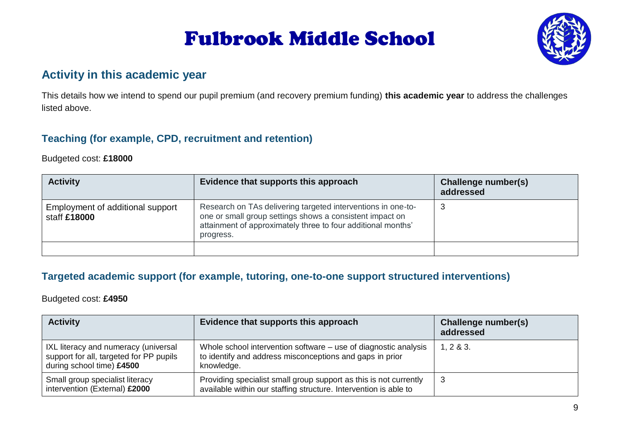

### **Activity in this academic year**

This details how we intend to spend our pupil premium (and recovery premium funding) **this academic year** to address the challenges listed above.

### **Teaching (for example, CPD, recruitment and retention)**

#### Budgeted cost: **£18000**

| <b>Activity</b>                                  | Evidence that supports this approach                                                                                                                                                                  | Challenge number(s)<br>addressed |
|--------------------------------------------------|-------------------------------------------------------------------------------------------------------------------------------------------------------------------------------------------------------|----------------------------------|
| Employment of additional support<br>staff £18000 | Research on TAs delivering targeted interventions in one-to-<br>one or small group settings shows a consistent impact on<br>attainment of approximately three to four additional months'<br>progress. | -3                               |
|                                                  |                                                                                                                                                                                                       |                                  |

#### **Targeted academic support (for example, tutoring, one-to-one support structured interventions)**

#### Budgeted cost: **£4950**

| <b>Activity</b>                                                                                              | Evidence that supports this approach                                                                                                      | Challenge number(s)<br>addressed |
|--------------------------------------------------------------------------------------------------------------|-------------------------------------------------------------------------------------------------------------------------------------------|----------------------------------|
| IXL literacy and numeracy (universal<br>support for all, targeted for PP pupils<br>during school time) £4500 | Whole school intervention software – use of diagnostic analysis<br>to identify and address misconceptions and gaps in prior<br>knowledge. | 1, 2 & 8 & 3.                    |
| Small group specialist literacy<br>intervention (External) £2000                                             | Providing specialist small group support as this is not currently<br>available within our staffing structure. Intervention is able to     | -3                               |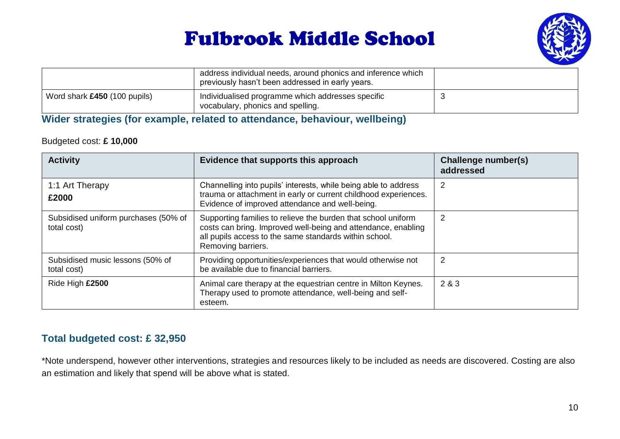

|                              | address individual needs, around phonics and inference which<br>previously hasn't been addressed in early years. |  |
|------------------------------|------------------------------------------------------------------------------------------------------------------|--|
| Word shark £450 (100 pupils) | Individualised programme which addresses specific<br>vocabulary, phonics and spelling.                           |  |

#### **Wider strategies (for example, related to attendance, behaviour, wellbeing)**

#### Budgeted cost: **£ 10,000**

| <b>Activity</b>                                     | Evidence that supports this approach                                                                                                                                                                           | Challenge number(s)<br>addressed |
|-----------------------------------------------------|----------------------------------------------------------------------------------------------------------------------------------------------------------------------------------------------------------------|----------------------------------|
| 1:1 Art Therapy<br>£2000                            | Channelling into pupils' interests, while being able to address<br>trauma or attachment in early or current childhood experiences.<br>Evidence of improved attendance and well-being.                          | 2                                |
| Subsidised uniform purchases (50% of<br>total cost) | Supporting families to relieve the burden that school uniform<br>costs can bring. Improved well-being and attendance, enabling<br>all pupils access to the same standards within school.<br>Removing barriers. | 2                                |
| Subsidised music lessons (50% of<br>total cost)     | Providing opportunities/experiences that would otherwise not<br>be available due to financial barriers.                                                                                                        | 2                                |
| Ride High £2500                                     | Animal care therapy at the equestrian centre in Milton Keynes.<br>Therapy used to promote attendance, well-being and self-<br>esteem.                                                                          | 2 & 3                            |

### **Total budgeted cost: £ 32,950**

\*Note underspend, however other interventions, strategies and resources likely to be included as needs are discovered. Costing are also an estimation and likely that spend will be above what is stated.